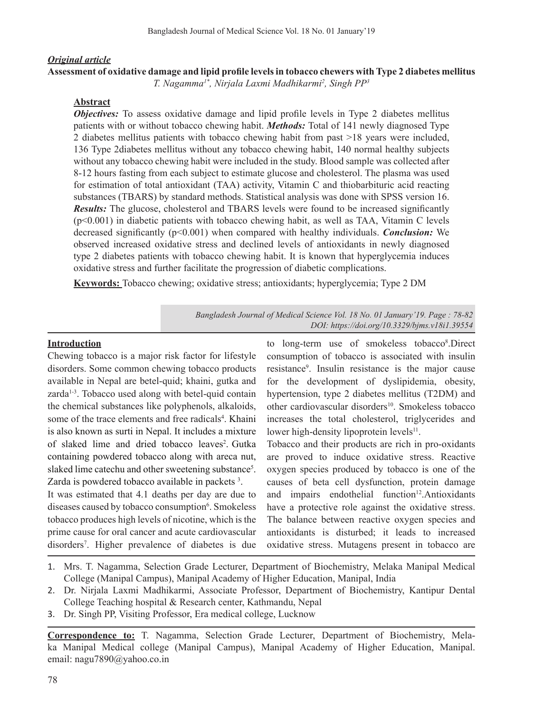### *Original article*

# **Assessment of oxidative damage and lipid profile levels in tobacco chewers with Type 2 diabetes mellitus**

*T. Nagamma1\*, Nirjala Laxmi Madhikarmi2 , Singh PP3*

# **Abstract**

*Objectives:* To assess oxidative damage and lipid profile levels in Type 2 diabetes mellitus patients with or without tobacco chewing habit. *Methods:* Total of 141 newly diagnosed Type 2 diabetes mellitus patients with tobacco chewing habit from past >18 years were included, 136 Type 2diabetes mellitus without any tobacco chewing habit, 140 normal healthy subjects without any tobacco chewing habit were included in the study. Blood sample was collected after 8-12 hours fasting from each subject to estimate glucose and cholesterol. The plasma was used for estimation of total antioxidant (TAA) activity, Vitamin C and thiobarbituric acid reacting substances (TBARS) by standard methods. Statistical analysis was done with SPSS version 16. *Results:* The glucose, cholesterol and TBARS levels were found to be increased significantly  $(p<0.001)$  in diabetic patients with tobacco chewing habit, as well as TAA, Vitamin C levels decreased significantly (p<0.001) when compared with healthy individuals. *Conclusion:* We observed increased oxidative stress and declined levels of antioxidants in newly diagnosed type 2 diabetes patients with tobacco chewing habit. It is known that hyperglycemia induces oxidative stress and further facilitate the progression of diabetic complications.

**Keywords:** Tobacco chewing; oxidative stress; antioxidants; hyperglycemia; Type 2 DM

*Bangladesh Journal of Medical Science Vol. 18 No. 01 January'19. Page : 78-82 DOI: https://doi.org/10.3329/bjms.v18i1.39554*

# **Introduction**

Chewing tobacco is a major risk factor for lifestyle disorders. Some common chewing tobacco products available in Nepal are betel-quid; khaini, gutka and zarda<sup>1-3</sup>. Tobacco used along with betel-quid contain the chemical substances like polyphenols, alkaloids, some of the trace elements and free radicals<sup>4</sup>. Khaini is also known as surti in Nepal. It includes a mixture of slaked lime and dried tobacco leaves<sup>2</sup>. Gutka containing powdered tobacco along with areca nut, slaked lime catechu and other sweetening substance<sup>5</sup>. Zarda is powdered tobacco available in packets<sup>3</sup>.

It was estimated that 4.1 deaths per day are due to diseases caused by tobacco consumption<sup>6</sup>. Smokeless tobacco produces high levels of nicotine, which is the prime cause for oral cancer and acute cardiovascular disorders7 . Higher prevalence of diabetes is due

to long-term use of smokeless tobacco<sup>8</sup>.Direct consumption of tobacco is associated with insulin resistance<sup>9</sup>. Insulin resistance is the major cause for the development of dyslipidemia, obesity, hypertension, type 2 diabetes mellitus (T2DM) and other cardiovascular disorders<sup>10</sup>. Smokeless tobacco increases the total cholesterol, triglycerides and lower high-density lipoprotein levels $11$ .

Tobacco and their products are rich in pro-oxidants are proved to induce oxidative stress. Reactive oxygen species produced by tobacco is one of the causes of beta cell dysfunction, protein damage and impairs endothelial function<sup>12</sup>.Antioxidants have a protective role against the oxidative stress. The balance between reactive oxygen species and antioxidants is disturbed; it leads to increased oxidative stress. Mutagens present in tobacco are

- 1. Mrs. T. Nagamma, Selection Grade Lecturer, Department of Biochemistry, Melaka Manipal Medical College (Manipal Campus), Manipal Academy of Higher Education, Manipal, India
- 2. Dr. Nirjala Laxmi Madhikarmi, Associate Professor, Department of Biochemistry, Kantipur Dental College Teaching hospital & Research center, Kathmandu, Nepal
- 3. Dr. Singh PP, Visiting Professor, Era medical college, Lucknow

**Correspondence to:** T. Nagamma, Selection Grade Lecturer, Department of Biochemistry, Melaka Manipal Medical college (Manipal Campus), Manipal Academy of Higher Education, Manipal. email: nagu7890@yahoo.co.in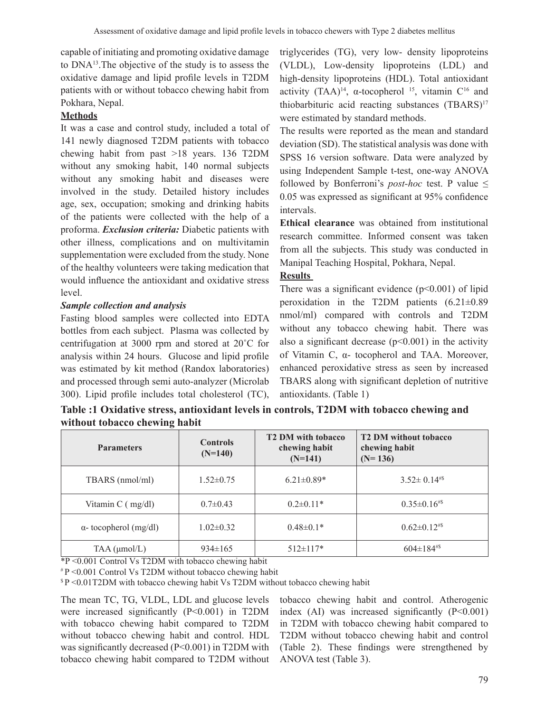capable of initiating and promoting oxidative damage to DNA13.The objective of the study is to assess the oxidative damage and lipid profile levels in T2DM patients with or without tobacco chewing habit from Pokhara, Nepal.

# **Methods**

It was a case and control study, included a total of 141 newly diagnosed T2DM patients with tobacco chewing habit from past >18 years. 136 T2DM without any smoking habit, 140 normal subjects without any smoking habit and diseases were involved in the study. Detailed history includes age, sex, occupation; smoking and drinking habits of the patients were collected with the help of a proforma. *Exclusion criteria:* Diabetic patients with other illness, complications and on multivitamin supplementation were excluded from the study. None of the healthy volunteers were taking medication that would influence the antioxidant and oxidative stress level.

# *Sample collection and analysis*

Fasting blood samples were collected into EDTA bottles from each subject. Plasma was collected by centrifugation at 3000 rpm and stored at 20˚C for analysis within 24 hours. Glucose and lipid profile was estimated by kit method (Randox laboratories) and processed through semi auto-analyzer (Microlab 300). Lipid profile includes total cholesterol (TC), triglycerides (TG), very low- density lipoproteins (VLDL), Low-density lipoproteins (LDL) and high-density lipoproteins (HDL). Total antioxidant activity  $(TAA)^{14}$ ,  $\alpha$ -tocopherol <sup>15</sup>, vitamin C<sup>16</sup> and thiobarbituric acid reacting substances (TBARS)<sup>17</sup> were estimated by standard methods.

The results were reported as the mean and standard deviation (SD). The statistical analysis was done with SPSS 16 version software. Data were analyzed by using Independent Sample t-test, one-way ANOVA followed by Bonferroni's *post-hoc* test. P value ≤ 0.05 was expressed as significant at 95% confidence intervals.

**Ethical clearance** was obtained from institutional research committee. Informed consent was taken from all the subjects. This study was conducted in Manipal Teaching Hospital, Pokhara, Nepal.

# **Results**

There was a significant evidence  $(p<0.001)$  of lipid peroxidation in the T2DM patients (6.21±0.89 nmol/ml) compared with controls and T2DM without any tobacco chewing habit. There was also a significant decrease  $(p<0.001)$  in the activity of Vitamin C, α- tocopherol and TAA. Moreover, enhanced peroxidative stress as seen by increased TBARS along with significant depletion of nutritive antioxidants. (Table 1)

**Table :1 Oxidative stress, antioxidant levels in controls, T2DM with tobacco chewing and without tobacco chewing habit** 

| <b>Parameters</b>                                     | <b>Controls</b><br>$(N=140)$ | <b>T2 DM with tobacco</b><br>chewing habit<br>$(N=141)$ | <b>T2 DM without tobacco</b><br>chewing habit<br>$(N=136)$ |
|-------------------------------------------------------|------------------------------|---------------------------------------------------------|------------------------------------------------------------|
| TBARS (nmol/ml)                                       | $1.52 \pm 0.75$              | $6.21 \pm 0.89*$                                        | $3.52 \pm 0.14^{48}$                                       |
| Vitamin C (mg/dl)                                     | $0.7 \pm 0.43$               | $0.2 \pm 0.11*$                                         | $0.35 \pm 0.16$ #\$                                        |
| $\alpha$ - tocopherol (mg/dl)                         | $1.02 \pm 0.32$              | $0.48 \pm 0.1*$                                         | $0.62 \pm 0.12$ #\$                                        |
| $TAA$ ( $\mu$ mol/L)<br>$\frac{1}{2}$<br>$\mathbf{1}$ | $934 \pm 165$                | $512 \pm 117$ *<br>.                                    | $604 \pm 184$ #\$                                          |

\*P <0.001 Control Vs T2DM with tobacco chewing habit

# P <0.001 Control Vs T2DM without tobacco chewing habit

\$ P <0.01T2DM with tobacco chewing habit Vs T2DM without tobacco chewing habit

The mean TC, TG, VLDL, LDL and glucose levels were increased significantly (P<0.001) in T2DM with tobacco chewing habit compared to T2DM without tobacco chewing habit and control. HDL was significantly decreased (P<0.001) in T2DM with tobacco chewing habit compared to T2DM without tobacco chewing habit and control. Atherogenic index  $(AI)$  was increased significantly  $(P<0.001)$ in T2DM with tobacco chewing habit compared to T2DM without tobacco chewing habit and control (Table 2). These findings were strengthened by ANOVA test (Table 3).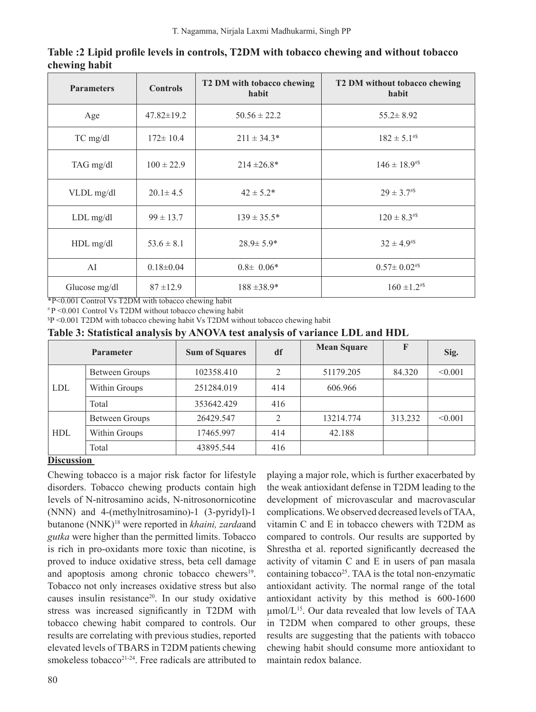| <b>Controls</b><br><b>Parameters</b> |                  | T2 DM with tobacco chewing<br>habit | T2 DM without tobacco chewing<br>habit |  |
|--------------------------------------|------------------|-------------------------------------|----------------------------------------|--|
| Age                                  | $47.82 \pm 19.2$ | $50.56 \pm 22.2$                    | $55.2 \pm 8.92$                        |  |
| TC mg/dl                             | $172 \pm 10.4$   | $211 \pm 34.3*$                     | $182 \pm 5.1$ #\$                      |  |
| TAG mg/dl                            | $100 \pm 22.9$   | $214 \pm 26.8^*$                    | $146 \pm 18.9^{#}$                     |  |
| VLDL mg/dl                           | $20.1 \pm 4.5$   | $42 \pm 5.2^*$                      | $29 \pm 3.7$ #\$                       |  |
| $LDL$ mg/dl                          | $99 \pm 13.7$    | $139 \pm 35.5^*$                    | $120 \pm 8.3$ #\$                      |  |
| $HDL$ mg/dl                          | $53.6 \pm 8.1$   | $28.9 \pm 5.9^*$                    | $32 \pm 4.9^{48}$                      |  |
| AI                                   | $0.18 \pm 0.04$  | $0.8\pm 0.06*$                      | $0.57 \pm 0.02$ #\$                    |  |
| Glucose mg/dl                        | $87 \pm 12.9$    | $188 \pm 38.9*$                     | $160 \pm 1.2^{48}$                     |  |

**Table :2 Lipid profile levels in controls, T2DM with tobacco chewing and without tobacco chewing habit** 

\*P<0.001 Control Vs T2DM with tobacco chewing habit

# P <0.001 Control Vs T2DM without tobacco chewing habit

\$ P <0.001 T2DM with tobacco chewing habit Vs T2DM without tobacco chewing habit

| Table 3: Statistical analysis by ANOVA test analysis of variance LDL and HDL |
|------------------------------------------------------------------------------|
|------------------------------------------------------------------------------|

|            | <b>Parameter</b>      | <b>Sum of Squares</b> | df             | <b>Mean Square</b> | F       | Sig.    |
|------------|-----------------------|-----------------------|----------------|--------------------|---------|---------|
| <b>LDL</b> | <b>Between Groups</b> | 102358.410            | $\overline{2}$ | 51179.205          | 84.320  | < 0.001 |
|            | Within Groups         | 251284.019            | 414            | 606.966            |         |         |
|            | Total                 | 353642.429            | 416            |                    |         |         |
| <b>HDL</b> | Between Groups        | 26429.547             | 2              | 13214.774          | 313.232 | < 0.001 |
|            | Within Groups         | 17465.997             | 414            | 42.188             |         |         |
|            | Total                 | 43895.544             | 416            |                    |         |         |

### **Discussion**

Chewing tobacco is a major risk factor for lifestyle disorders. Tobacco chewing products contain high levels of N-nitrosamino acids, N-nitrosonornicotine (NNN) and 4-(methylnitrosamino)-1 (3-pyridyl)-1 butanone (NNK)18 were reported in *khaini, zarda*and *gutka* were higher than the permitted limits. Tobacco is rich in pro-oxidants more toxic than nicotine, is proved to induce oxidative stress, beta cell damage and apoptosis among chronic tobacco chewers<sup>19</sup>. Tobacco not only increases oxidative stress but also causes insulin resistance<sup>20</sup>. In our study oxidative stress was increased significantly in T2DM with tobacco chewing habit compared to controls. Our results are correlating with previous studies, reported elevated levels of TBARS in T2DM patients chewing smokeless tobacco<sup>21-24</sup>. Free radicals are attributed to

playing a major role, which is further exacerbated by the weak antioxidant defense in T2DM leading to the development of microvascular and macrovascular complications.We observed decreased levels ofTAA, vitamin C and E in tobacco chewers with T2DM as compared to controls. Our results are supported by Shrestha et al. reported significantly decreased the activity of vitamin C and E in users of pan masala containing tobacco<sup>25</sup>. TAA is the total non-enzymatic antioxidant activity. The normal range of the total antioxidant activity by this method is 600-1600 µmol/L<sup>15</sup>. Our data revealed that low levels of TAA in T2DM when compared to other groups, these results are suggesting that the patients with tobacco chewing habit should consume more antioxidant to maintain redox balance.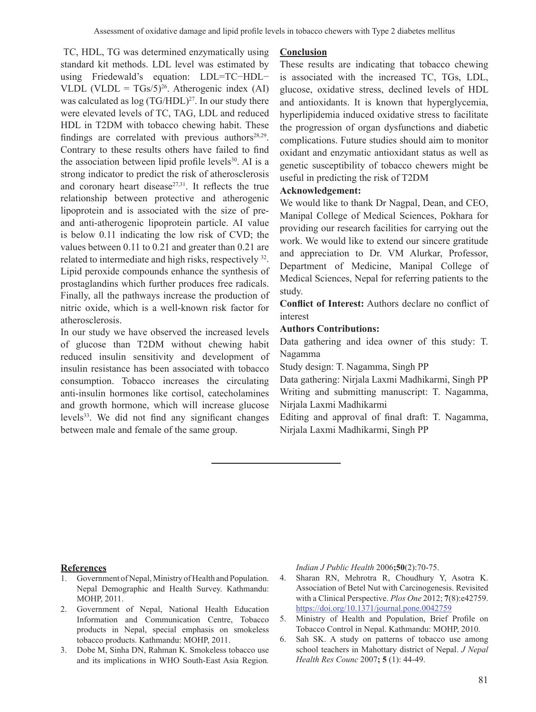TC, HDL, TG was determined enzymatically using standard kit methods. LDL level was estimated by using Friedewald's equation: LDL=TC−HDL− VLDL (VLDL =  $TGs/5)^{26}$ . Atherogenic index (AI) was calculated as  $log(TG/HDL)^{27}$ . In our study there were elevated levels of TC, TAG, LDL and reduced HDL in T2DM with tobacco chewing habit. These findings are correlated with previous authors<sup>28,29</sup>. Contrary to these results others have failed to find the association between lipid profile levels $30$ . AI is a strong indicator to predict the risk of atherosclerosis and coronary heart disease $27,31$ . It reflects the true relationship between protective and atherogenic lipoprotein and is associated with the size of preand anti-atherogenic lipoprotein particle. AI value is below 0.11 indicating the low risk of CVD; the values between 0.11 to 0.21 and greater than 0.21 are related to intermediate and high risks, respectively <sup>32</sup>. Lipid peroxide compounds enhance the synthesis of prostaglandins which further produces free radicals. Finally, all the pathways increase the production of nitric oxide, which is a well-known risk factor for atherosclerosis.

In our study we have observed the increased levels of glucose than T2DM without chewing habit reduced insulin sensitivity and development of insulin resistance has been associated with tobacco consumption. Tobacco increases the circulating anti-insulin hormones like cortisol, catecholamines and growth hormone, which will increase glucose levels<sup>33</sup>. We did not find any significant changes between male and female of the same group.

### **Conclusion**

These results are indicating that tobacco chewing is associated with the increased TC, TGs, LDL, glucose, oxidative stress, declined levels of HDL and antioxidants. It is known that hyperglycemia, hyperlipidemia induced oxidative stress to facilitate the progression of organ dysfunctions and diabetic complications. Future studies should aim to monitor oxidant and enzymatic antioxidant status as well as genetic susceptibility of tobacco chewers might be useful in predicting the risk of T2DM

### **Acknowledgement:**

We would like to thank Dr Nagpal, Dean, and CEO, Manipal College of Medical Sciences, Pokhara for providing our research facilities for carrying out the work. We would like to extend our sincere gratitude and appreciation to Dr. VM Alurkar, Professor, Department of Medicine, Manipal College of Medical Sciences, Nepal for referring patients to the study.

**Conflict of Interest:** Authors declare no conflict of interest

### **Authors Contributions:**

Data gathering and idea owner of this study: T. Nagamma

Study design: T. Nagamma, Singh PP

Data gathering: Nirjala Laxmi Madhikarmi, Singh PP Writing and submitting manuscript: T. Nagamma, Nirjala Laxmi Madhikarmi

Editing and approval of final draft: T. Nagamma, Nirjala Laxmi Madhikarmi, Singh PP

#### **References**

- 1. Government of Nepal, Ministry of Health and Population. Nepal Demographic and Health Survey. Kathmandu: MOHP, 2011.
- 2. Government of Nepal, National Health Education Information and Communication Centre, Tobacco products in Nepal, special emphasis on smokeless tobacco products. Kathmandu: MOHP, 2011.
- 3. Dobe M, Sinha DN, Rahman K. Smokeless tobacco use and its implications in WHO South-East Asia Region*.*

*Indian J Public Health* 2006**;50**(2):70-75. 

- 4. Sharan RN, Mehrotra R, Choudhury Y, Asotra K. Association of Betel Nut with Carcinogenesis. Revisited with a Clinical Perspective. *Plos One* 2012; **7**(8):e42759. https://doi.org/10.1371/journal.pone.0042759
- 5. Ministry of Health and Population, Brief Profile on Tobacco Control in Nepal. Kathmandu: MOHP, 2010.
- 6. Sah SK. A study on patterns of tobacco use among school teachers in Mahottary district of Nepal. *J Nepal Health Res Counc* 2007**; 5** (1): 44-49.